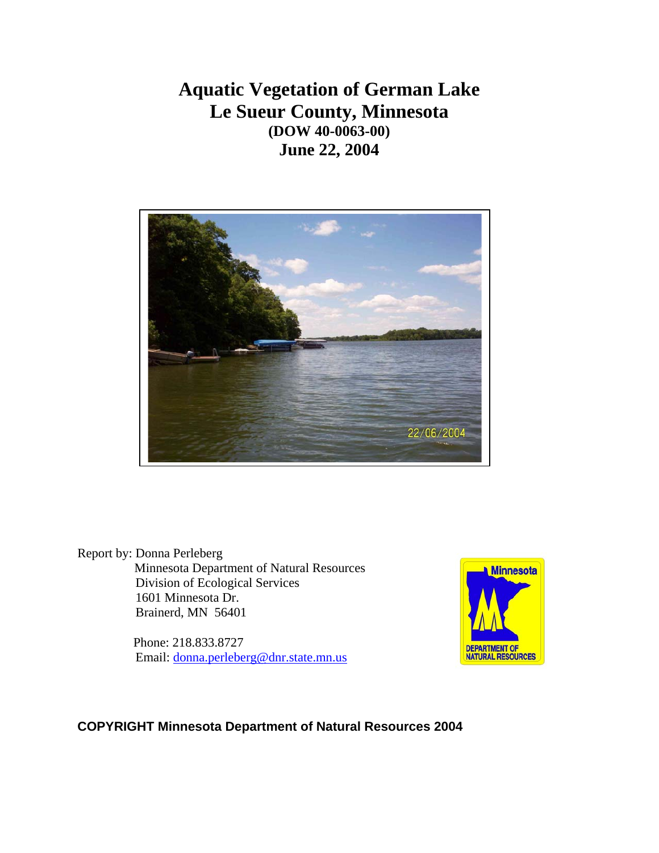# **Aquatic Vegetation of German Lake Le Sueur County, Minnesota (DOW 40-0063-00) June 22, 2004**



Report by: Donna Perleberg Minnesota Department of Natural Resources Division of Ecological Services 1601 Minnesota Dr. Brainerd, MN 56401

> Phone: 218.833.8727 Email: [donna.perleberg@dnr.state.mn.us](mailto:donna.perleberg@dnr.state.mn.us)



## **COPYRIGHT Minnesota Department of Natural Resources 2004**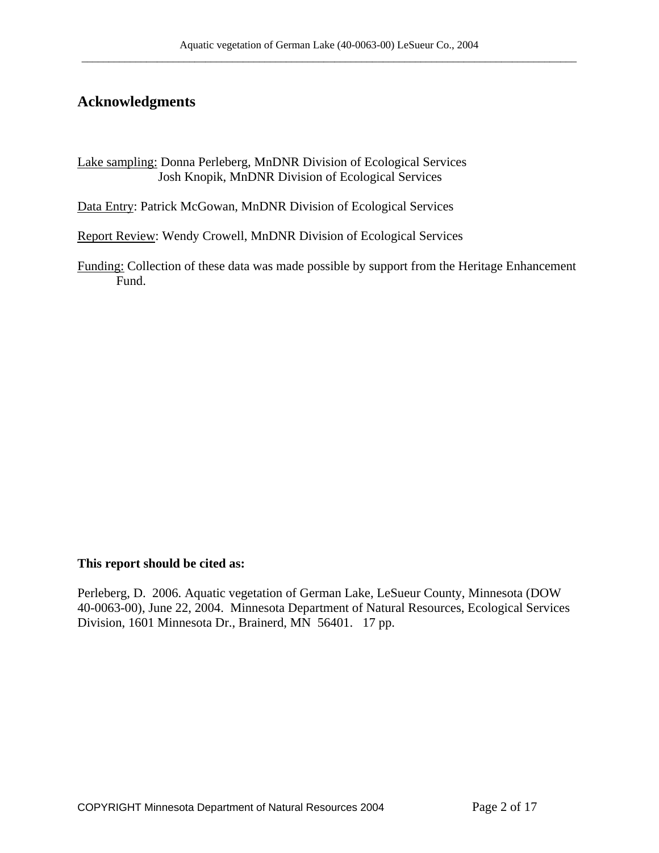## **Acknowledgments**

Lake sampling: Donna Perleberg, MnDNR Division of Ecological Services Josh Knopik, MnDNR Division of Ecological Services

Data Entry: Patrick McGowan, MnDNR Division of Ecological Services

Report Review: Wendy Crowell, MnDNR Division of Ecological Services

Funding: Collection of these data was made possible by support from the Heritage Enhancement Fund.

#### **This report should be cited as:**

Perleberg, D. 2006. Aquatic vegetation of German Lake, LeSueur County, Minnesota (DOW 40-0063-00), June 22, 2004. Minnesota Department of Natural Resources, Ecological Services Division, 1601 Minnesota Dr., Brainerd, MN 56401. 17 pp.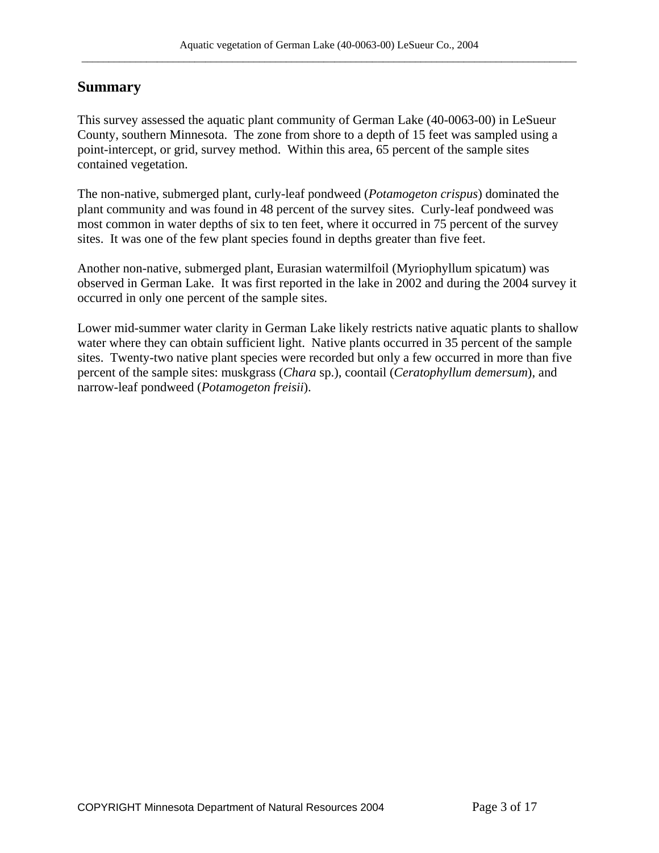# **Summary**

This survey assessed the aquatic plant community of German Lake (40-0063-00) in LeSueur County, southern Minnesota. The zone from shore to a depth of 15 feet was sampled using a point-intercept, or grid, survey method. Within this area, 65 percent of the sample sites contained vegetation.

The non-native, submerged plant, curly-leaf pondweed (*Potamogeton crispus*) dominated the plant community and was found in 48 percent of the survey sites. Curly-leaf pondweed was most common in water depths of six to ten feet, where it occurred in 75 percent of the survey sites. It was one of the few plant species found in depths greater than five feet.

Another non-native, submerged plant, Eurasian watermilfoil (Myriophyllum spicatum) was observed in German Lake. It was first reported in the lake in 2002 and during the 2004 survey it occurred in only one percent of the sample sites.

Lower mid-summer water clarity in German Lake likely restricts native aquatic plants to shallow water where they can obtain sufficient light. Native plants occurred in 35 percent of the sample sites. Twenty-two native plant species were recorded but only a few occurred in more than five percent of the sample sites: muskgrass (*Chara* sp.), coontail (*Ceratophyllum demersum*), and narrow-leaf pondweed (*Potamogeton freisii*).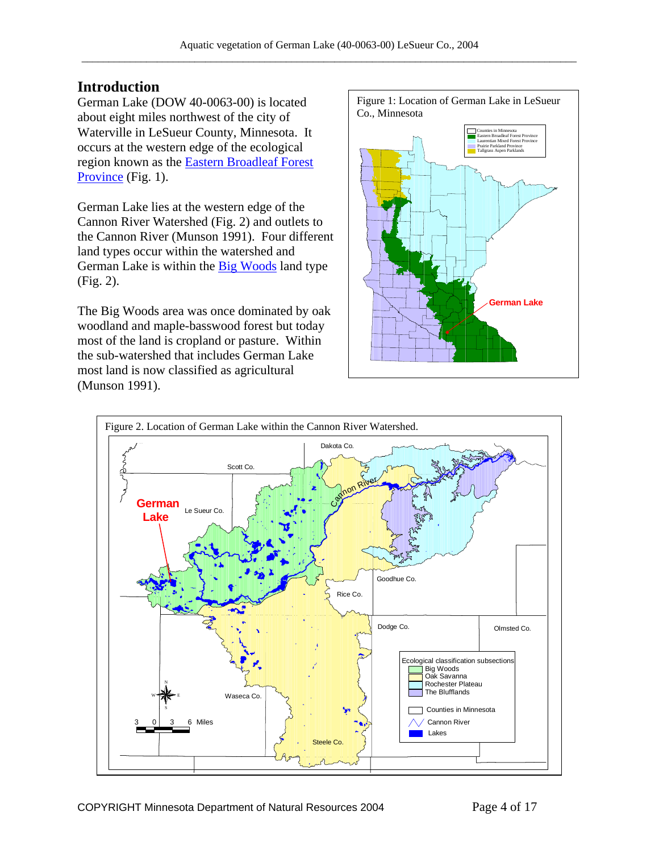## **Introduction**

German Lake (DOW 40-0063-00) is located about eight miles northwest of the city of Waterville in LeSueur County, Minnesota. It occurs at the western edge of the ecological region known as the [Eastern Broadleaf Forest](http://www.dnr.state.mn.us/ecs/broadleaf/index.html)  [Province](http://www.dnr.state.mn.us/ecs/broadleaf/index.html) (Fig. 1).

German Lake lies at the western edge of the Cannon River Watershed (Fig. 2) and outlets to the Cannon River (Munson 1991). Four different land types occur within the watershed and German Lake is within the **Big Woods** land type (Fig. 2).

The Big Woods area was once dominated by oak woodland and maple-basswood forest but today most of the land is cropland or pasture. Within the sub-watershed that includes German Lake most land is now classified as agricultural (Munson 1991).



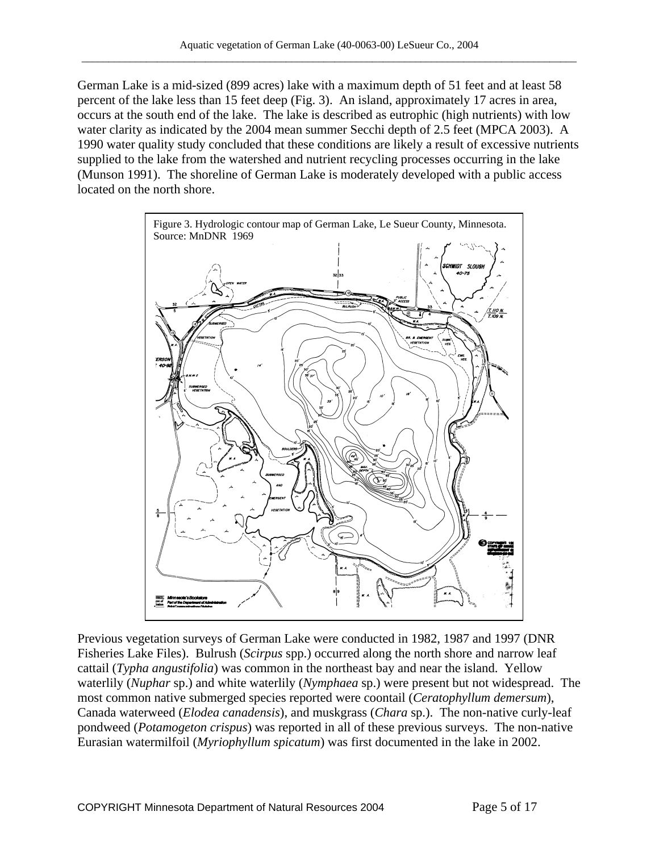German Lake is a mid-sized (899 acres) lake with a maximum depth of 51 feet and at least 58 percent of the lake less than 15 feet deep (Fig. 3). An island, approximately 17 acres in area, occurs at the south end of the lake. The lake is described as eutrophic (high nutrients) with low water clarity as indicated by the 2004 mean summer Secchi depth of 2.5 feet (MPCA 2003). A 1990 water quality study concluded that these conditions are likely a result of excessive nutrients supplied to the lake from the watershed and nutrient recycling processes occurring in the lake (Munson 1991). The shoreline of German Lake is moderately developed with a public access located on the north shore.



Previous vegetation surveys of German Lake were conducted in 1982, 1987 and 1997 (DNR Fisheries Lake Files). Bulrush (*Scirpus* spp.) occurred along the north shore and narrow leaf cattail (*Typha angustifolia*) was common in the northeast bay and near the island. Yellow waterlily (*Nuphar* sp.) and white waterlily (*Nymphaea* sp.) were present but not widespread. The most common native submerged species reported were coontail (*Ceratophyllum demersum*), Canada waterweed (*Elodea canadensis*), and muskgrass (*Chara* sp.). The non-native curly-leaf pondweed (*Potamogeton crispus*) was reported in all of these previous surveys. The non-native Eurasian watermilfoil (*Myriophyllum spicatum*) was first documented in the lake in 2002.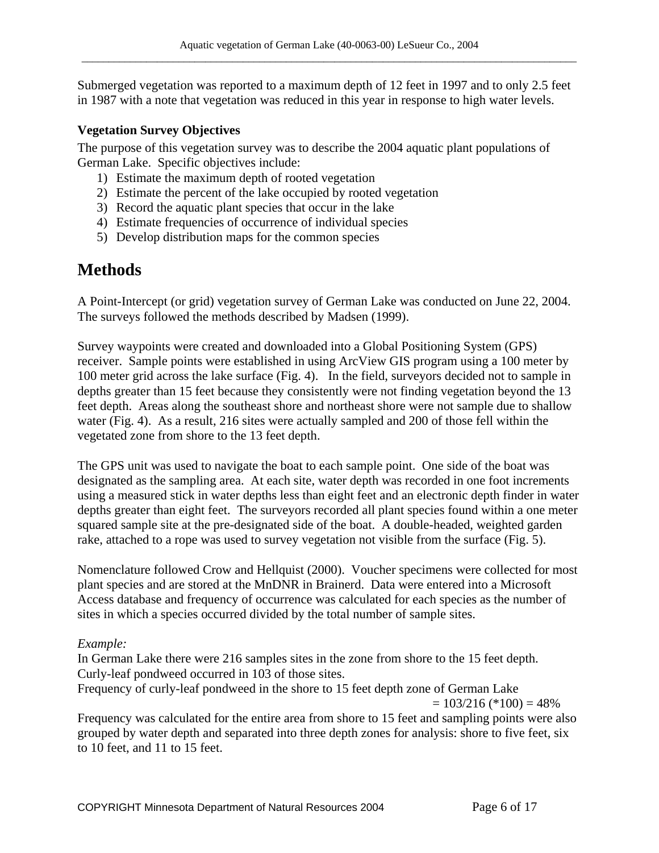Submerged vegetation was reported to a maximum depth of 12 feet in 1997 and to only 2.5 feet in 1987 with a note that vegetation was reduced in this year in response to high water levels.

## **Vegetation Survey Objectives**

The purpose of this vegetation survey was to describe the 2004 aquatic plant populations of German Lake. Specific objectives include:

- 1) Estimate the maximum depth of rooted vegetation
- 2) Estimate the percent of the lake occupied by rooted vegetation
- 3) Record the aquatic plant species that occur in the lake
- 4) Estimate frequencies of occurrence of individual species
- 5) Develop distribution maps for the common species

# **Methods**

A Point-Intercept (or grid) vegetation survey of German Lake was conducted on June 22, 2004. The surveys followed the methods described by Madsen (1999).

Survey waypoints were created and downloaded into a Global Positioning System (GPS) receiver. Sample points were established in using ArcView GIS program using a 100 meter by 100 meter grid across the lake surface (Fig. 4). In the field, surveyors decided not to sample in depths greater than 15 feet because they consistently were not finding vegetation beyond the 13 feet depth. Areas along the southeast shore and northeast shore were not sample due to shallow water (Fig. 4). As a result, 216 sites were actually sampled and 200 of those fell within the vegetated zone from shore to the 13 feet depth.

The GPS unit was used to navigate the boat to each sample point. One side of the boat was designated as the sampling area. At each site, water depth was recorded in one foot increments using a measured stick in water depths less than eight feet and an electronic depth finder in water depths greater than eight feet. The surveyors recorded all plant species found within a one meter squared sample site at the pre-designated side of the boat. A double-headed, weighted garden rake, attached to a rope was used to survey vegetation not visible from the surface (Fig. 5).

Nomenclature followed Crow and Hellquist (2000). Voucher specimens were collected for most plant species and are stored at the MnDNR in Brainerd. Data were entered into a Microsoft Access database and frequency of occurrence was calculated for each species as the number of sites in which a species occurred divided by the total number of sample sites.

## *Example:*

In German Lake there were 216 samples sites in the zone from shore to the 15 feet depth. Curly-leaf pondweed occurred in 103 of those sites.

Frequency of curly-leaf pondweed in the shore to 15 feet depth zone of German Lake  $= 103/216$  (\*100)  $= 48\%$ 

Frequency was calculated for the entire area from shore to 15 feet and sampling points were also grouped by water depth and separated into three depth zones for analysis: shore to five feet, six to 10 feet, and 11 to 15 feet.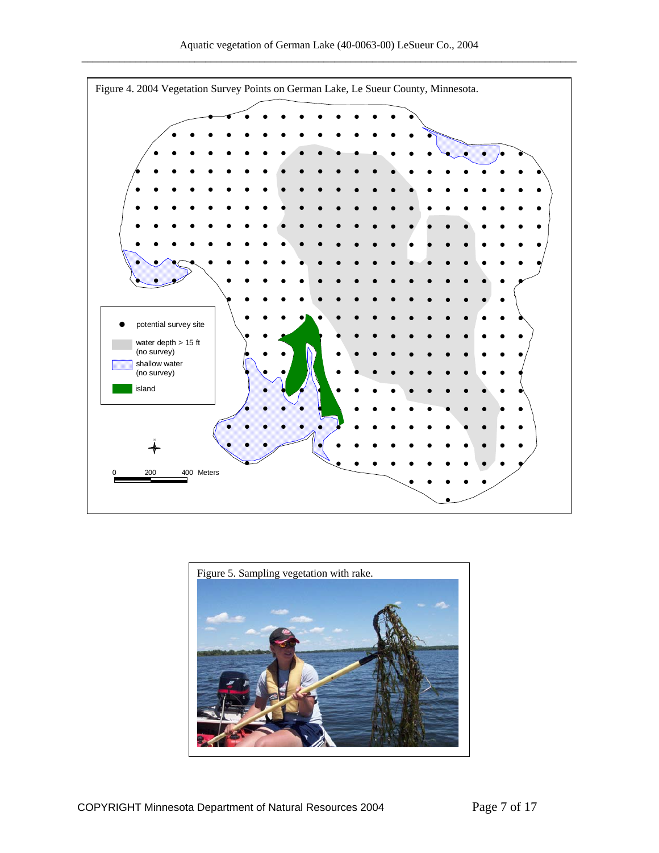

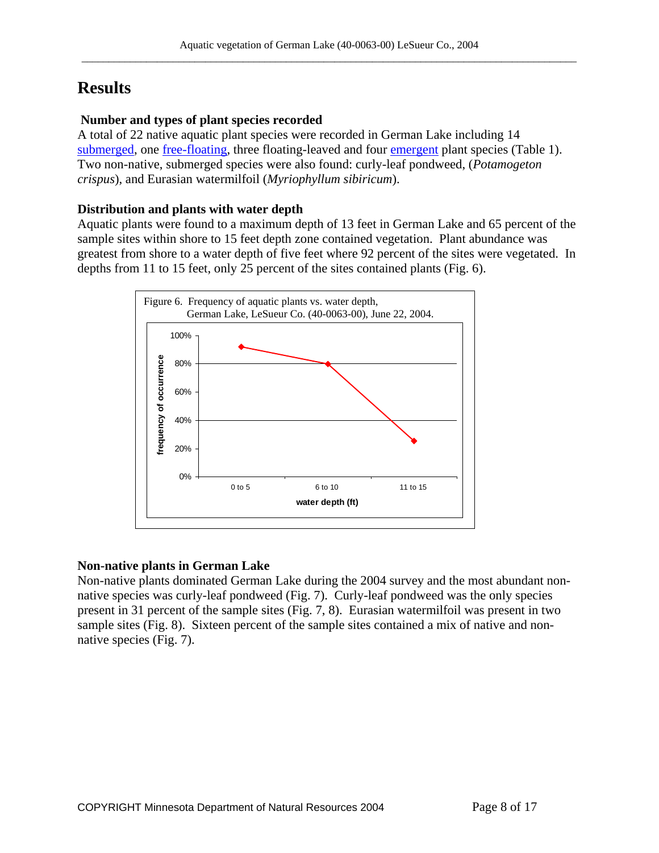# **Results**

## **Number and types of plant species recorded**

A total of 22 native aquatic plant species were recorded in German Lake including 14 [submerged,](http://www.dnr.state.mn.us/shorelandmgmt/apg/wheregrow.html) one [free-floating,](http://www.dnr.state.mn.us/shorelandmgmt/apg/wheregrow.html) three floating-leaved and four [emergent](http://www.dnr.state.mn.us/shorelandmgmt/apg/wheregrow.html) plant species (Table 1). Two non-native, submerged species were also found: curly-leaf pondweed, (*Potamogeton crispus*), and Eurasian watermilfoil (*Myriophyllum sibiricum*).

## **Distribution and plants with water depth**

Aquatic plants were found to a maximum depth of 13 feet in German Lake and 65 percent of the sample sites within shore to 15 feet depth zone contained vegetation. Plant abundance was greatest from shore to a water depth of five feet where 92 percent of the sites were vegetated. In depths from 11 to 15 feet, only 25 percent of the sites contained plants (Fig. 6).



# **Non-native plants in German Lake**

Non-native plants dominated German Lake during the 2004 survey and the most abundant nonnative species was curly-leaf pondweed (Fig. 7). Curly-leaf pondweed was the only species present in 31 percent of the sample sites (Fig. 7, 8). Eurasian watermilfoil was present in two sample sites (Fig. 8). Sixteen percent of the sample sites contained a mix of native and nonnative species (Fig. 7).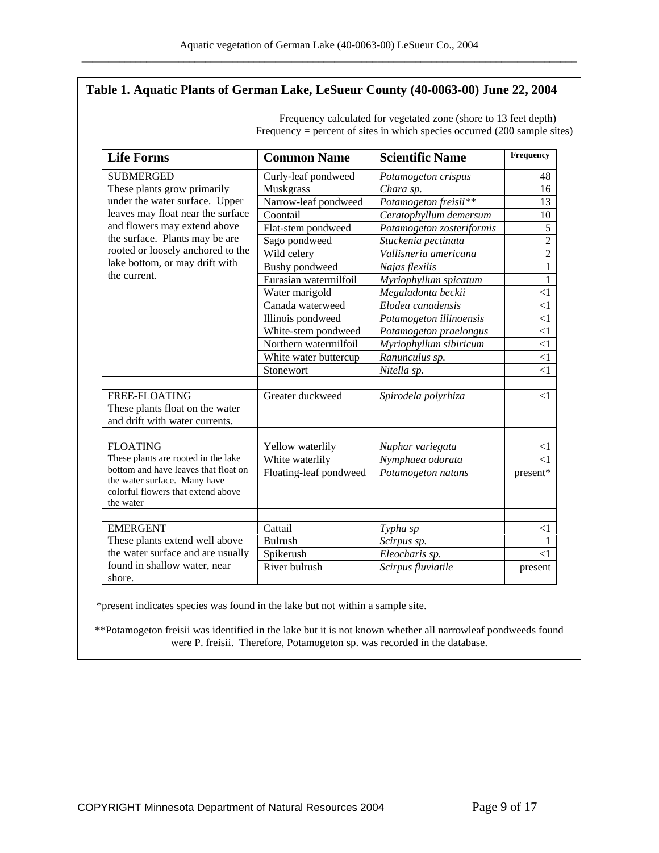#### **Table 1. Aquatic Plants of German Lake, LeSueur County (40-0063-00) June 22, 2004**

| <b>Life Forms</b>                                                                                                                                                                                                                                           | <b>Common Name</b>         | <b>Scientific Name</b>               | Frequency           |
|-------------------------------------------------------------------------------------------------------------------------------------------------------------------------------------------------------------------------------------------------------------|----------------------------|--------------------------------------|---------------------|
| <b>SUBMERGED</b>                                                                                                                                                                                                                                            | Curly-leaf pondweed        | Potamogeton crispus                  | 48                  |
| These plants grow primarily<br>under the water surface. Upper<br>leaves may float near the surface<br>and flowers may extend above<br>the surface. Plants may be are<br>rooted or loosely anchored to the<br>lake bottom, or may drift with<br>the current. | Muskgrass                  | Chara sp.                            | 16                  |
|                                                                                                                                                                                                                                                             | Narrow-leaf pondweed       | Potamogeton freisii**                | 13                  |
|                                                                                                                                                                                                                                                             | Coontail                   | Ceratophyllum demersum               | 10                  |
|                                                                                                                                                                                                                                                             | Flat-stem pondweed         | Potamogeton zosteriformis            | 5                   |
|                                                                                                                                                                                                                                                             | Sago pondweed              | Stuckenia pectinata                  | $\overline{2}$      |
|                                                                                                                                                                                                                                                             | Wild celery                | Vallisneria americana                | $\overline{2}$      |
|                                                                                                                                                                                                                                                             | <b>Bushy</b> pondweed      | Najas flexilis                       | $\mathbf{1}$        |
|                                                                                                                                                                                                                                                             | Eurasian watermilfoil      | Myriophyllum spicatum                | 1                   |
|                                                                                                                                                                                                                                                             | Water marigold             | Megaladonta beckii                   | $<$ 1               |
|                                                                                                                                                                                                                                                             | Canada waterweed           | Elodea canadensis                    | $\leq$ 1            |
|                                                                                                                                                                                                                                                             | Illinois pondweed          | Potamogeton illinoensis              | $\leq$ 1            |
|                                                                                                                                                                                                                                                             | White-stem pondweed        | Potamogeton praelongus               | $\leq$ 1            |
|                                                                                                                                                                                                                                                             | Northern watermilfoil      | Myriophyllum sibiricum               | $\leq$ 1            |
|                                                                                                                                                                                                                                                             | White water buttercup      | Ranunculus sp.                       | $\leq$ 1            |
|                                                                                                                                                                                                                                                             | Stonewort                  | Nitella sp.                          | $<$ 1               |
| <b>FREE-FLOATING</b><br>These plants float on the water<br>and drift with water currents.                                                                                                                                                                   | Greater duckweed           | Spirodela polyrhiza                  | $\leq$ 1            |
| <b>FLOATING</b>                                                                                                                                                                                                                                             | Yellow waterlily           | Nuphar variegata                     | $<$ 1               |
| These plants are rooted in the lake                                                                                                                                                                                                                         | White waterlily            | Nymphaea odorata                     | $\leq$ 1            |
| bottom and have leaves that float on<br>the water surface. Many have<br>colorful flowers that extend above<br>the water                                                                                                                                     | Floating-leaf pondweed     | Potamogeton natans                   | present*            |
|                                                                                                                                                                                                                                                             | Cattail                    |                                      |                     |
| <b>EMERGENT</b><br>These plants extend well above                                                                                                                                                                                                           | <b>Bulrush</b>             | Typha sp                             | $<$ 1<br>1          |
| the water surface and are usually                                                                                                                                                                                                                           |                            | Scirpus sp.                          |                     |
| found in shallow water, near<br>shore.                                                                                                                                                                                                                      | Spikerush<br>River bulrush | Eleocharis sp.<br>Scirpus fluviatile | $\leq$ 1<br>present |

Frequency calculated for vegetated zone (shore to 13 feet depth) Frequency = percent of sites in which species occurred (200 sample sites)

\*present indicates species was found in the lake but not within a sample site.

\*\*Potamogeton freisii was identified in the lake but it is not known whether all narrowleaf pondweeds found were P. freisii. Therefore, Potamogeton sp. was recorded in the database.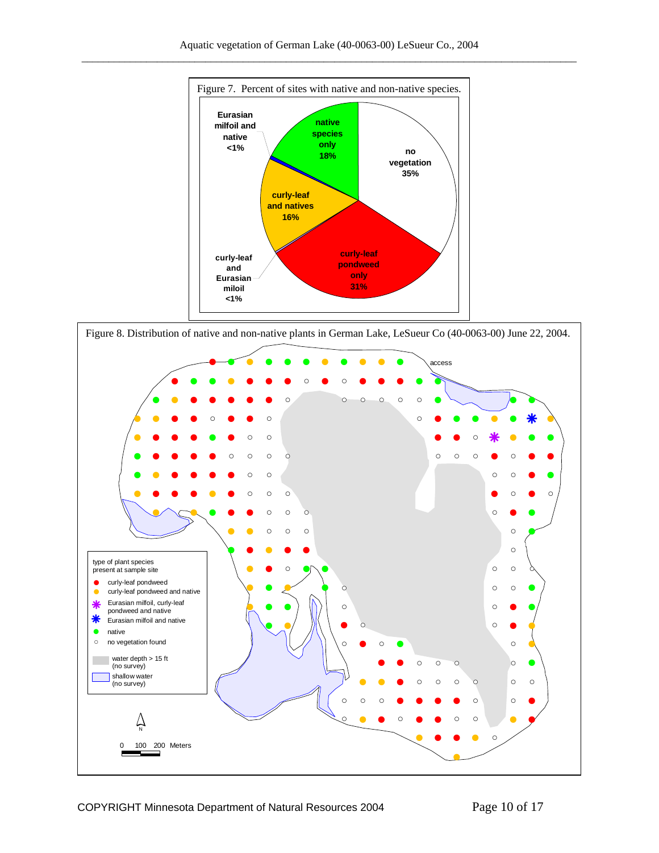

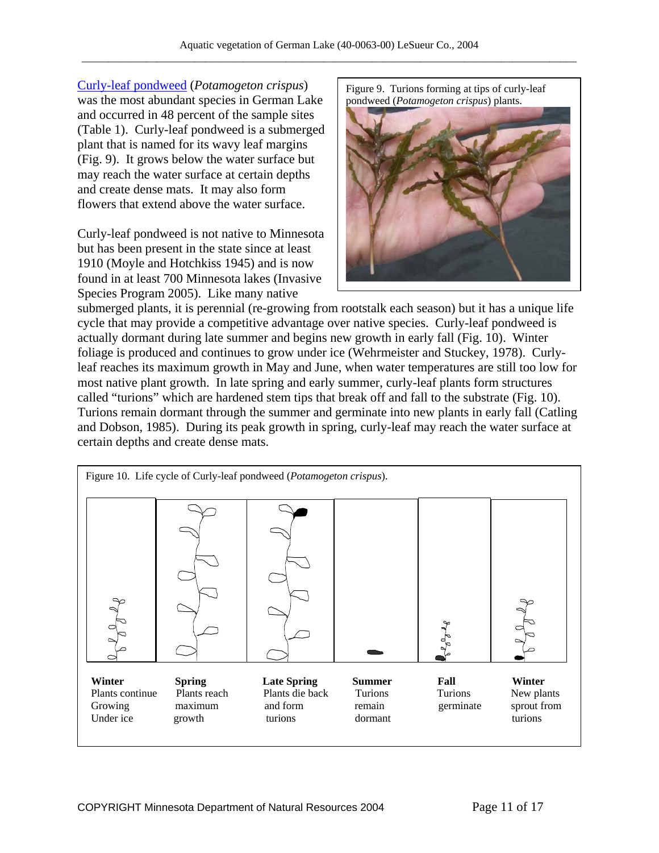[Curly-leaf pondweed](http://www.dnr.state.mn.us/aquatic_plants/submerged_plants/curlyleaf_pondweed.html) (*Potamogeton crispus*) was the most abundant species in German Lake and occurred in 48 percent of the sample sites (Table 1). Curly-leaf pondweed is a submerged plant that is named for its wavy leaf margins (Fig. 9). It grows below the water surface but may reach the water surface at certain depths and create dense mats. It may also form flowers that extend above the water surface.

Curly-leaf pondweed is not native to Minnesota but has been present in the state since at least 1910 (Moyle and Hotchkiss 1945) and is now found in at least 700 Minnesota lakes (Invasive Species Program 2005). Like many native

Figure 9. Turions forming at tips of curly-leaf pondweed (*Potamogeton crispus*) plants.



submerged plants, it is perennial (re-growing from rootstalk each season) but it has a unique life cycle that may provide a competitive advantage over native species. Curly-leaf pondweed is actually dormant during late summer and begins new growth in early fall (Fig. 10). Winter foliage is produced and continues to grow under ice (Wehrmeister and Stuckey, 1978). Curlyleaf reaches its maximum growth in May and June, when water temperatures are still too low for most native plant growth. In late spring and early summer, curly-leaf plants form structures called "turions" which are hardened stem tips that break off and fall to the substrate (Fig. 10). Turions remain dormant through the summer and germinate into new plants in early fall (Catling and Dobson, 1985). During its peak growth in spring, curly-leaf may reach the water surface at certain depths and create dense mats.

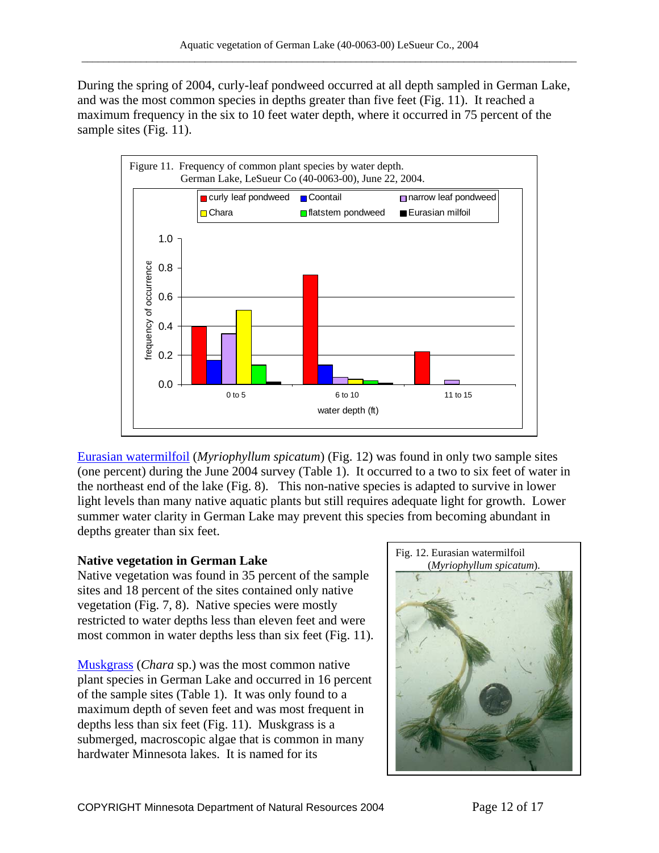During the spring of 2004, curly-leaf pondweed occurred at all depth sampled in German Lake, and was the most common species in depths greater than five feet (Fig. 11). It reached a maximum frequency in the six to 10 feet water depth, where it occurred in 75 percent of the sample sites (Fig. 11).



[Eurasian watermilfoil](http://www.dnr.state.mn.us/invasives/aquaticplants/milfoil/index.html) (*Myriophyllum spicatum*) (Fig. 12) was found in only two sample sites (one percent) during the June 2004 survey (Table 1). It occurred to a two to six feet of water in the northeast end of the lake (Fig. 8). This non-native species is adapted to survive in lower light levels than many native aquatic plants but still requires adequate light for growth. Lower summer water clarity in German Lake may prevent this species from becoming abundant in depths greater than six feet.

Native vegetation was found in 35 percent of the sample sites and 18 percent of the sites contained only native vegetation (Fig. 7, 8). Native species were mostly restricted to water depths less than eleven feet and were most common in water depths less than six feet (Fig. 11).

[Muskgrass](http://www.dnr.state.mn.us/aquatic_plants/algae/chara.html) (*Chara* sp.) was the most common native plant species in German Lake and occurred in 16 percent of the sample sites (Table 1). It was only found to a maximum depth of seven feet and was most frequent in depths less than six feet (Fig. 11). Muskgrass is a submerged, macroscopic algae that is common in many hardwater Minnesota lakes. It is named for its

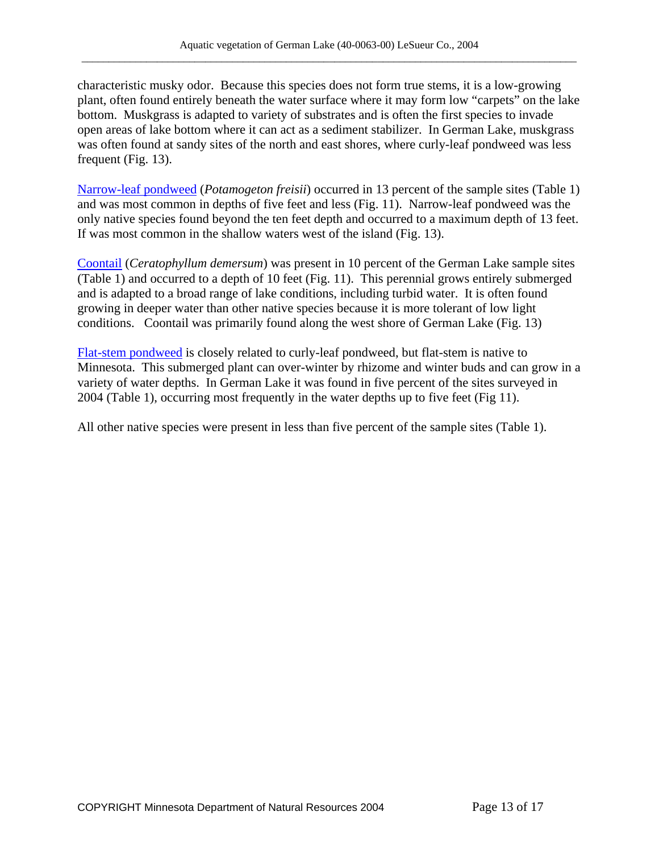characteristic musky odor. Because this species does not form true stems, it is a low-growing plant, often found entirely beneath the water surface where it may form low "carpets" on the lake bottom. Muskgrass is adapted to variety of substrates and is often the first species to invade open areas of lake bottom where it can act as a sediment stabilizer. In German Lake, muskgrass was often found at sandy sites of the north and east shores, where curly-leaf pondweed was less frequent (Fig. 13).

[Narrow-leaf pondweed](http://www.dnr.state.mn.us/aquatic_plants/submerged_plants/narrowleaf_pondweeds.html) (*Potamogeton freisii*) occurred in 13 percent of the sample sites (Table 1) and was most common in depths of five feet and less (Fig. 11). Narrow-leaf pondweed was the only native species found beyond the ten feet depth and occurred to a maximum depth of 13 feet. If was most common in the shallow waters west of the island (Fig. 13).

[Coontail](http://www.dnr.state.mn.us/aquatic_plants/submerged_plants/coontail.html) (*Ceratophyllum demersum*) was present in 10 percent of the German Lake sample sites (Table 1) and occurred to a depth of 10 feet (Fig. 11). This perennial grows entirely submerged and is adapted to a broad range of lake conditions, including turbid water. It is often found growing in deeper water than other native species because it is more tolerant of low light conditions. Coontail was primarily found along the west shore of German Lake (Fig. 13)

[Flat-stem pondweed](http://www.dnr.state.mn.us/aquatic_plants/submerged_plants/narrowleaf_pondweeds.html) is closely related to curly-leaf pondweed, but flat-stem is native to Minnesota. This submerged plant can over-winter by rhizome and winter buds and can grow in a variety of water depths. In German Lake it was found in five percent of the sites surveyed in 2004 (Table 1), occurring most frequently in the water depths up to five feet (Fig 11).

All other native species were present in less than five percent of the sample sites (Table 1).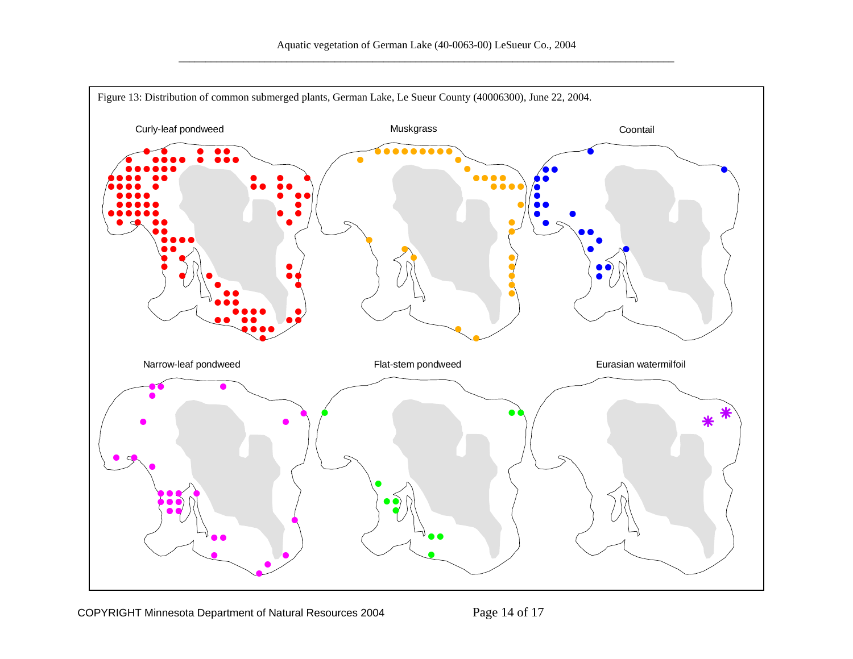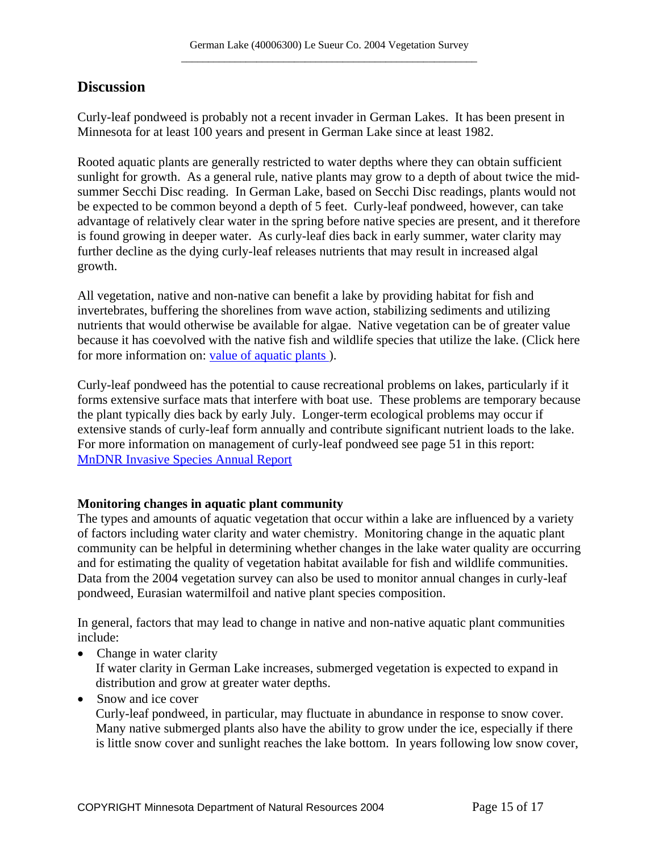## **Discussion**

Curly-leaf pondweed is probably not a recent invader in German Lakes. It has been present in Minnesota for at least 100 years and present in German Lake since at least 1982.

Rooted aquatic plants are generally restricted to water depths where they can obtain sufficient sunlight for growth. As a general rule, native plants may grow to a depth of about twice the midsummer Secchi Disc reading. In German Lake, based on Secchi Disc readings, plants would not be expected to be common beyond a depth of 5 feet. Curly-leaf pondweed, however, can take advantage of relatively clear water in the spring before native species are present, and it therefore is found growing in deeper water. As curly-leaf dies back in early summer, water clarity may further decline as the dying curly-leaf releases nutrients that may result in increased algal growth.

All vegetation, native and non-native can benefit a lake by providing habitat for fish and invertebrates, buffering the shorelines from wave action, stabilizing sediments and utilizing nutrients that would otherwise be available for algae. Native vegetation can be of greater value because it has coevolved with the native fish and wildlife species that utilize the lake. (Click here for more information on: value of aquatic plants).

Curly-leaf pondweed has the potential to cause recreational problems on lakes, particularly if it forms extensive surface mats that interfere with boat use. These problems are temporary because the plant typically dies back by early July. Longer-term ecological problems may occur if extensive stands of curly-leaf form annually and contribute significant nutrient loads to the lake. For more information on management of curly-leaf pondweed see page 51 in this report: [MnDNR Invasive Species Annual Report](http://files.dnr.state.mn.us/ecological_services/invasives/annualreport.pdf)

## **Monitoring changes in aquatic plant community**

The types and amounts of aquatic vegetation that occur within a lake are influenced by a variety of factors including water clarity and water chemistry. Monitoring change in the aquatic plant community can be helpful in determining whether changes in the lake water quality are occurring and for estimating the quality of vegetation habitat available for fish and wildlife communities. Data from the 2004 vegetation survey can also be used to monitor annual changes in curly-leaf pondweed, Eurasian watermilfoil and native plant species composition.

In general, factors that may lead to change in native and non-native aquatic plant communities include:

• Change in water clarity

If water clarity in German Lake increases, submerged vegetation is expected to expand in distribution and grow at greater water depths.

• Snow and ice cover

Curly-leaf pondweed, in particular, may fluctuate in abundance in response to snow cover. Many native submerged plants also have the ability to grow under the ice, especially if there is little snow cover and sunlight reaches the lake bottom. In years following low snow cover,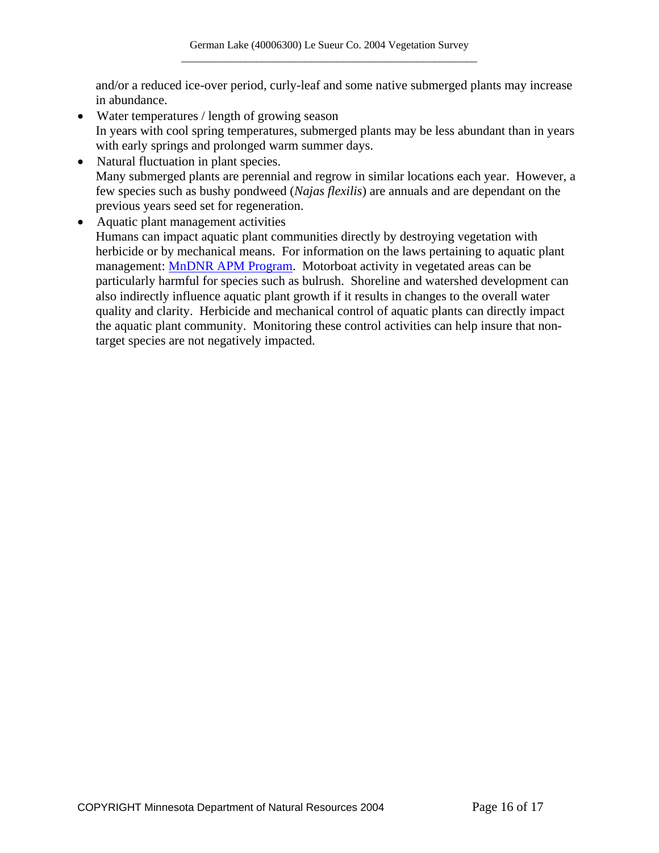and/or a reduced ice-over period, curly-leaf and some native submerged plants may increase in abundance.

- Water temperatures / length of growing season In years with cool spring temperatures, submerged plants may be less abundant than in years with early springs and prolonged warm summer days.
- Natural fluctuation in plant species. Many submerged plants are perennial and regrow in similar locations each year. However, a few species such as bushy pondweed (*Najas flexilis*) are annuals and are dependant on the previous years seed set for regeneration.
- Aquatic plant management activities Humans can impact aquatic plant communities directly by destroying vegetation with herbicide or by mechanical means. For information on the laws pertaining to aquatic plant management: [MnDNR APM Program.](http://www.dnr.state.mn.us/ecological_services/apm/index.html) Motorboat activity in vegetated areas can be particularly harmful for species such as bulrush. Shoreline and watershed development can also indirectly influence aquatic plant growth if it results in changes to the overall water quality and clarity. Herbicide and mechanical control of aquatic plants can directly impact the aquatic plant community. Monitoring these control activities can help insure that nontarget species are not negatively impacted.